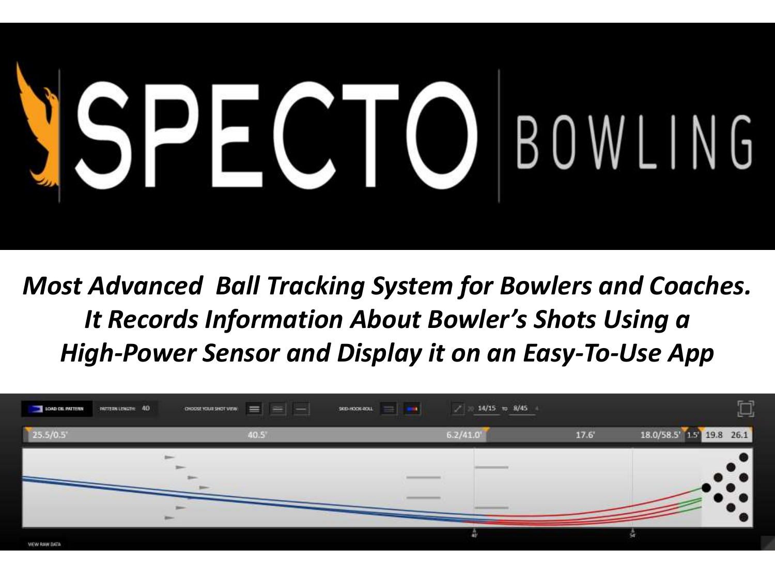# SPECTOBOWLING

*Most Advanced Ball Tracking System for Bowlers and Coaches. It Records Information About Bowler's Shots Using a High-Power Sensor and Display it on an Easy-To-Use App*

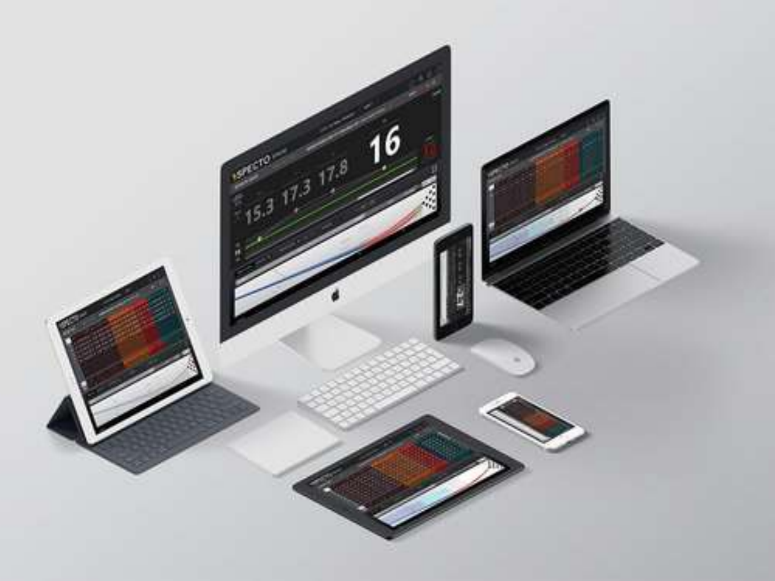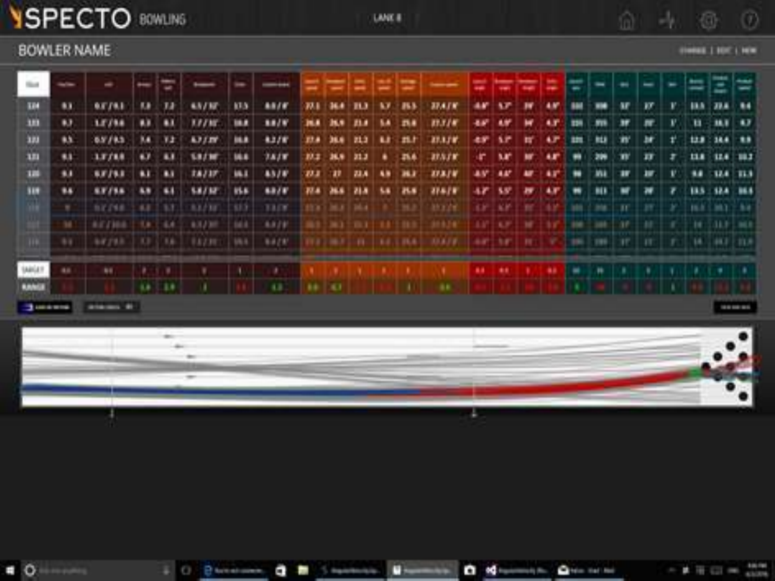## **YSPECTO BOWLING**

#### **BOWLER NAME**

 $0 - 0$ 

**SWARE | ROC LINIM** 

 $-$  **K** H Cl  $=$   $\frac{10.06}{1000}$ 

O Missional Originals

 $a + a + b$ 

| <b>Skin</b>      | --        |               |           |                |              | ⊶           | --          |            |                           | ።    | ㄹ  | Ξ              |              |    |     | س | ۵   |             |           |                          |    |   |            |                |             |
|------------------|-----------|---------------|-----------|----------------|--------------|-------------|-------------|------------|---------------------------|------|----|----------------|--------------|----|-----|---|-----|-------------|-----------|--------------------------|----|---|------------|----------------|-------------|
| <b>TES</b>       | $\bullet$ | 93793         | <b>KB</b> | $_{14}$        | 43/37        | 135         | 8878        | 77 L       | 36.4                      | ու   | w  | 85             | <b>STATK</b> | 48 | v   | Ħ | 4 N |             | m         | w                        | w  | v | <b>BRA</b> | 39.4           | ш           |
| 333              | B.F       | 1.079.6       | m         | $\blacksquare$ | 3.7730°      | <b>MA</b>   | 11/8        | м          | 35.9                      | 88   | 14 | <b>ma</b>      | 33.7 / 8     | ₩  |     | w | 43  |             | m         | Ħ                        | m  | v | п          | 18.9           | -           |
| 323              | 93        | 0.57783       | M         | 72             | AJ J.IV      | <b>HAR</b>  | 4.1/8       | <b>ELA</b> | 36.8                      | m    | u  | n <sub>t</sub> | 27.129       | 48 |     | Ħ | 4.3 | m           | ш         | w                        | br |   | 12.3       | 38.4           | - 1.9       |
| m                | 93        | 1.7/1.8       | w         | $\blacksquare$ | <b>53/30</b> | <b>MA</b>   | 7.678       | 912.       | 36,9                      | 21.3 |    | 35.6           | <b>WATE</b>  | æ. | w   |   |     |             | 209       | w                        | Ħ  |   | ш          | 12.4           | 183         |
| 128              | 9.8       | 53753         | ш         | ш              | 28737        | <b>MI</b>   | 43/8        | vı         | 77                        | 23.4 | u  | ж              | 373.74       | a٧ |     |   |     | ٠           | <b>M4</b> | w                        | w  |   |            | 12.4           | 71.8        |
| 389              | 84        | 88/98         | 53        | 68             | 54732        | <b>ISS</b>  | 8878        | 77.4       | м                         | 21.8 | 14 | 25.8           | 37678        | 4r |     |   |     | m           | ш         | $\overline{\phantom{a}}$ | ₩  |   | 18.5       | 12.4           | <b>BKS</b>  |
|                  | ×.        | <b>BYJ'ME</b> | 6.3       | 11.7           | 33, / 33     | 33.5        | <b>TAIX</b> |            | <b>12.8.1 26.8   36.4</b> |      |    | 36.2           | 49.221       | u  | x   |   |     | <b>MILE</b> | 316       | $_{11}$                  | Ħ  |   | IS.B       | m <sub>1</sub> | 3.3         |
|                  | 36        | 857108        | 1.9       | 16.4           | 83230        | 56.8        | 8379        |            | 81781781                  |      |    | <b>TES</b>     | 38838        |    | 1.7 | w |     | 3181        | 388       | 35                       |    |   | 18         | 11.9 1.361     |             |
| 39.              | 81        | 99793         | 8.31      | 18             | <b>BAZR</b>  | <b>MA A</b> | 8.8/8       |            |                           |      |    |                |              |    |     |   |     |             | 191       |                          | П  |   | 14         | 89.3           | F TEA       |
| SANAT            | 46        | 44            |           |                |              |             |             |            |                           |      |    |                |              |    |     |   | ٠   |             |           |                          |    |   |            |                |             |
| <b>TIP</b>       |           |               |           |                |              |             | 4.3         |            | 84 (163                   |      |    |                | 88.          |    |     |   |     |             |           |                          |    |   |            |                |             |
| <b>300000000</b> |           | area por      |           |                |              |             |             |            |                           |      |    |                |              |    |     |   |     |             |           |                          |    |   |            |                | 100 000 000 |
|                  |           |               |           |                |              |             |             |            |                           |      |    |                |              |    |     |   |     |             |           |                          |    |   |            |                |             |
|                  |           |               |           |                |              |             |             |            |                           |      |    |                |              |    |     |   |     |             |           |                          |    |   |            |                |             |
|                  |           |               |           |                | $-$          |             |             |            |                           |      |    |                |              |    |     |   |     |             |           |                          |    |   |            |                |             |
|                  |           |               |           |                |              |             |             |            |                           |      |    |                |              |    |     |   |     |             |           |                          |    |   |            |                |             |
|                  |           |               |           |                |              |             |             |            |                           |      |    |                |              |    |     |   |     |             |           |                          |    |   |            |                |             |
|                  |           |               |           |                |              |             |             |            |                           |      |    |                |              |    |     |   |     |             |           |                          |    |   |            |                |             |

**EQ BURNING & BOSSERIES BURNI** 

LANCA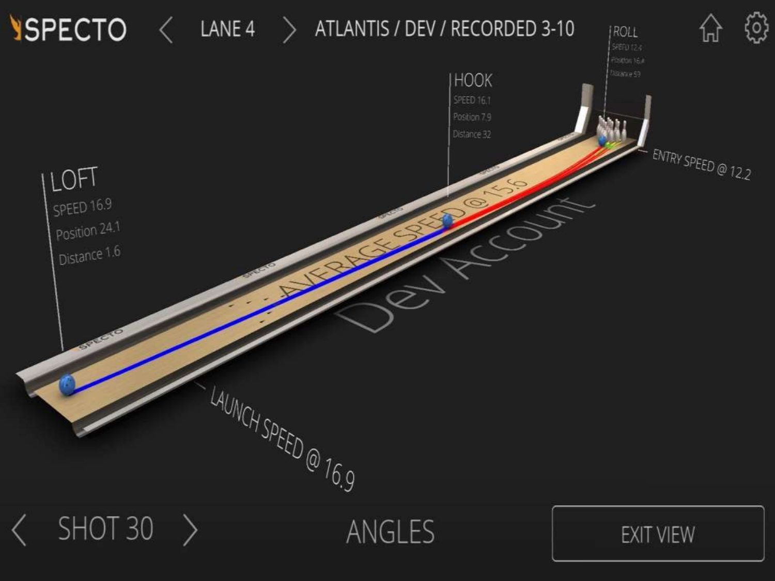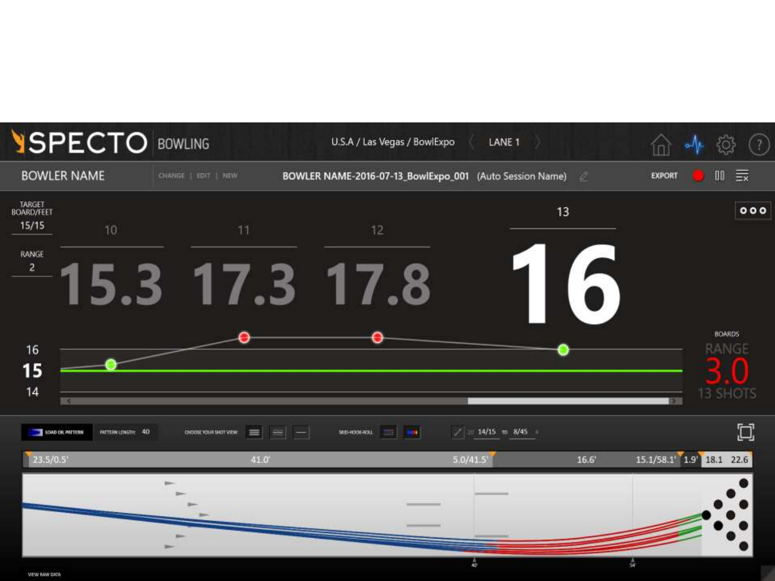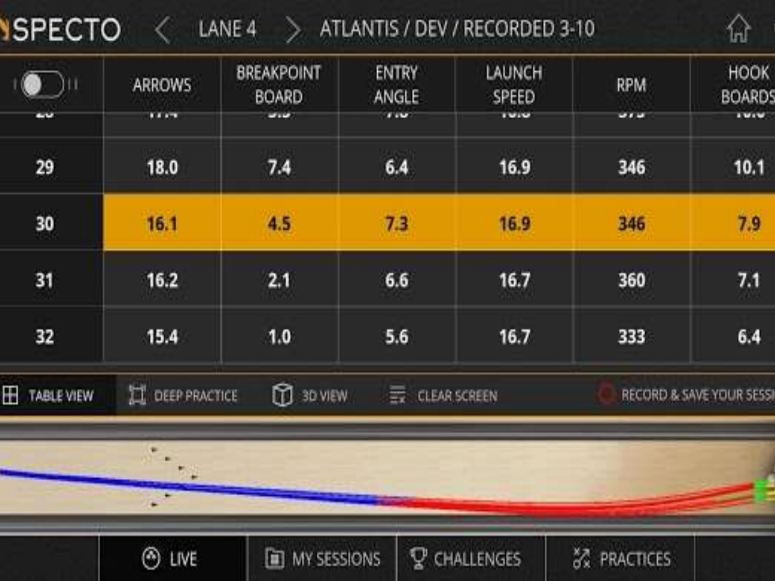#### SPECTO < LANE4 > ATLANTIS / DEV / RECORDED 3-10

| - |    | _ |  |
|---|----|---|--|
|   |    |   |  |
|   | __ |   |  |

| Ш                      | <b>ARROWS</b>           | <b>BREAKPOINT</b><br><b>BOARD</b> | <b>ENTRY</b><br>ANGLE | LAUNCH<br>SPEED | <b>RPM</b>               | <b>HOOK</b><br><b>BOARDS</b> |  |  |
|------------------------|-------------------------|-----------------------------------|-----------------------|-----------------|--------------------------|------------------------------|--|--|
| <b>COM</b>             | <b>TEXT</b>             | wiw.                              | <b>FILM</b>           | TWIP            | ---                      | <b>TWIW</b>                  |  |  |
| 29                     | 18.0                    | 7.4                               | 6.4                   | 16.9            | 346                      | 10.1                         |  |  |
| 30                     | 16.1                    | 4.5                               | 7.3                   | 16.9            | 346                      | 7.9                          |  |  |
| 31                     | 16.2                    | 2.1                               | 6.6                   | 16.7            | 360                      | 7.1                          |  |  |
| 32                     | 15.4                    | 1.0                               | 5.6                   | 16.7            | 333                      | 6.4                          |  |  |
| Ŧ<br><b>TABLE VIEW</b> | <b>LE DEEP PRACTICE</b> | ຒ<br>3D VIEW                      | 륣                     | CLEAR SCREEN    | RECORD & SAVE YOUR SESSI |                              |  |  |
|                        | ٠                       |                                   |                       |                 |                          |                              |  |  |
|                        | ٠<br>¥                  |                                   |                       |                 |                          |                              |  |  |
|                        | ⊚<br>LIVE               | <b>MY SESSIONS</b>                | ¥                     | CHALLENGES      | <b>AR PRACTICES</b>      |                              |  |  |

. .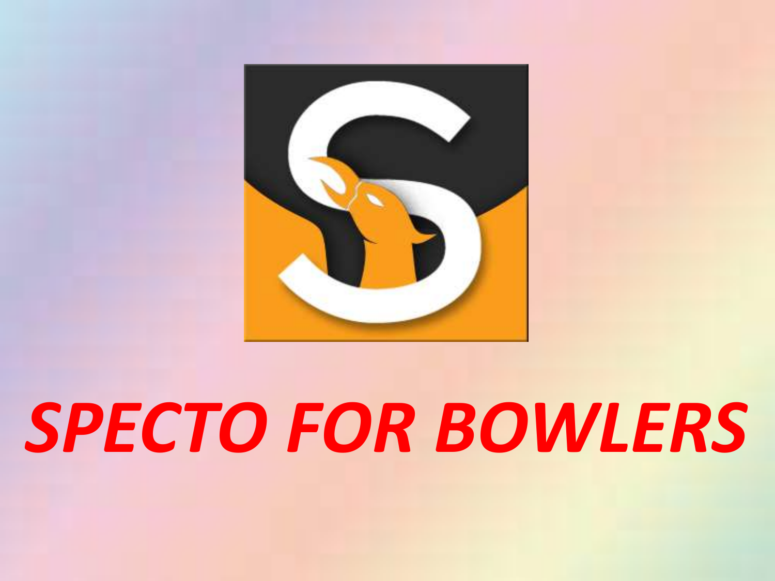

## *SPECTO FOR BOWLERS*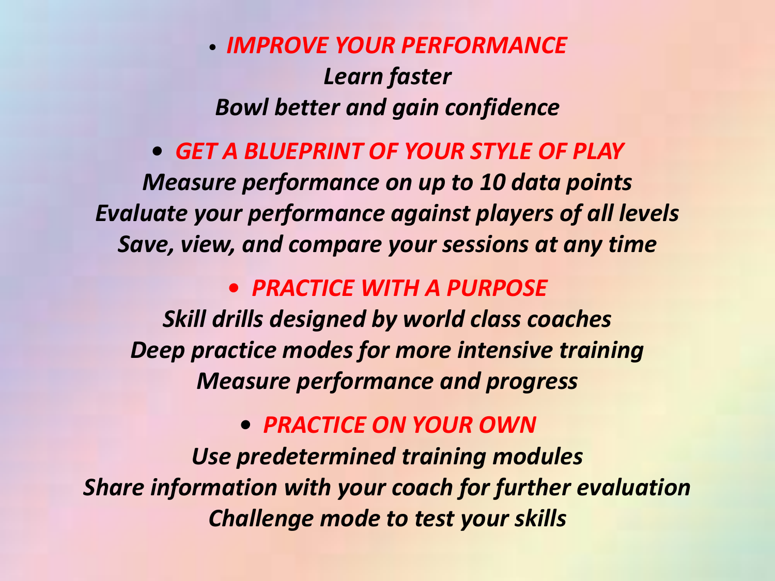• *IMPROVE YOUR PERFORMANCE Learn faster Bowl better and gain confidence*

*• GET A BLUEPRINT OF YOUR STYLE OF PLAY Measure performance on up to 10 data points Evaluate your performance against players of all levels Save, view, and compare your sessions at any time*

*• PRACTICE WITH A PURPOSE*

*Skill drills designed by world class coaches Deep practice modes for more intensive training Measure performance and progress*

*• PRACTICE ON YOUR OWN*

*Use predetermined training modules Share information with your coach for further evaluation Challenge mode to test your skills*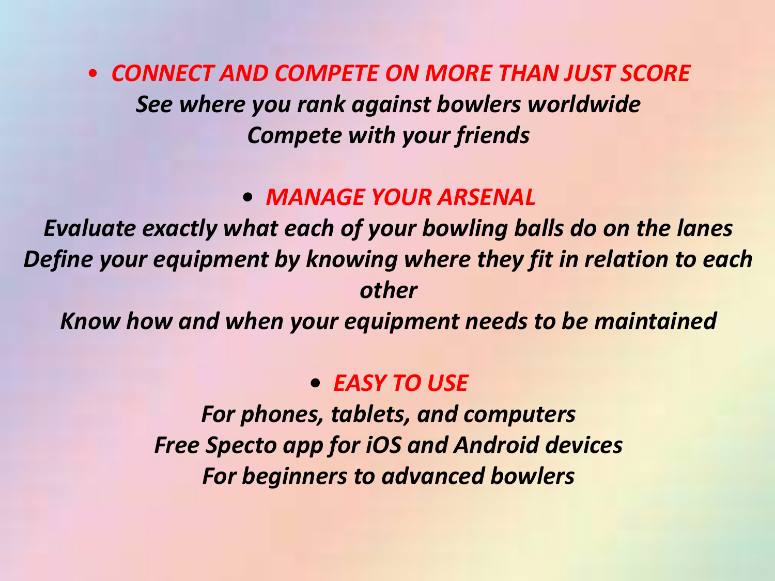• *CONNECT AND COMPETE ON MORE THAN JUST SCORE See where you rank against bowlers worldwide Compete with your friends*

## *• MANAGE YOUR ARSENAL*

*Evaluate exactly what each of your bowling balls do on the lanes Define your equipment by knowing where they fit in relation to each other*

*Know how and when your equipment needs to be maintained*

### *• EASY TO USE*

*For phones, tablets, and computers Free Specto app for iOS and Android devices For beginners to advanced bowlers*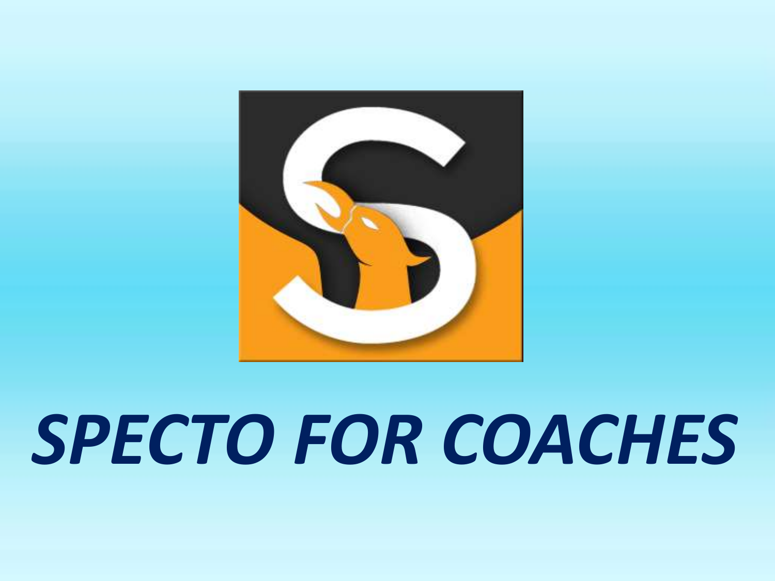

# *SPECTO FOR COACHES*